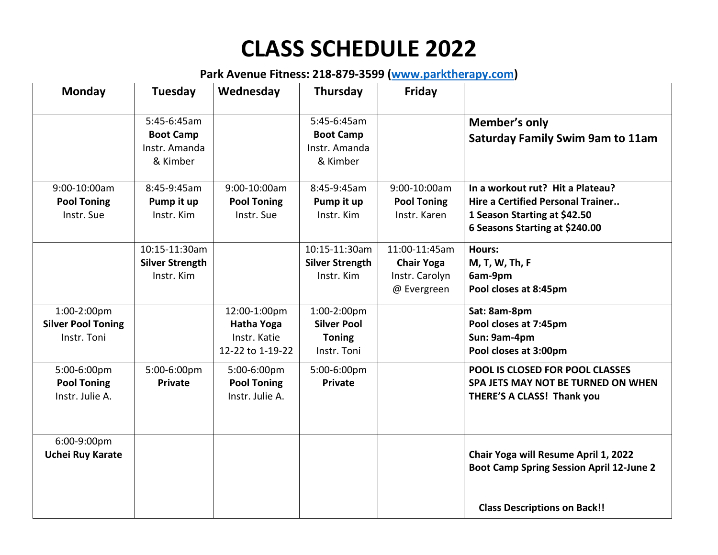## **CLASS SCHEDULE 2022**

## **Park Avenue Fitness: 218-879-3599 [\(www.parktherapy.com\)](http://www.parktherapy.com/)**

| <b>Monday</b>                                           | Tuesday                                                      | Wednesday                                                             | Thursday                                                          | Friday                                                              |                                                                                                                                                |
|---------------------------------------------------------|--------------------------------------------------------------|-----------------------------------------------------------------------|-------------------------------------------------------------------|---------------------------------------------------------------------|------------------------------------------------------------------------------------------------------------------------------------------------|
|                                                         | 5:45-6:45am<br><b>Boot Camp</b><br>Instr. Amanda<br>& Kimber |                                                                       | 5:45-6:45am<br><b>Boot Camp</b><br>Instr. Amanda<br>& Kimber      |                                                                     | Member's only<br><b>Saturday Family Swim 9am to 11am</b>                                                                                       |
| 9:00-10:00am<br><b>Pool Toning</b><br>Instr. Sue        | 8:45-9:45am<br>Pump it up<br>Instr. Kim                      | 9:00-10:00am<br><b>Pool Toning</b><br>Instr. Sue                      | 8:45-9:45am<br>Pump it up<br>Instr. Kim                           | 9:00-10:00am<br><b>Pool Toning</b><br>Instr. Karen                  | In a workout rut? Hit a Plateau?<br><b>Hire a Certified Personal Trainer</b><br>1 Season Starting at \$42.50<br>6 Seasons Starting at \$240.00 |
|                                                         | 10:15-11:30am<br><b>Silver Strength</b><br>Instr. Kim        |                                                                       | 10:15-11:30am<br><b>Silver Strength</b><br>Instr. Kim             | 11:00-11:45am<br><b>Chair Yoga</b><br>Instr. Carolyn<br>@ Evergreen | <b>Hours:</b><br>M, T, W, Th, F<br>6am-9pm<br>Pool closes at 8:45pm                                                                            |
| 1:00-2:00pm<br><b>Silver Pool Toning</b><br>Instr. Toni |                                                              | 12:00-1:00pm<br><b>Hatha Yoga</b><br>Instr. Katie<br>12-22 to 1-19-22 | 1:00-2:00pm<br><b>Silver Pool</b><br><b>Toning</b><br>Instr. Toni |                                                                     | Sat: 8am-8pm<br>Pool closes at 7:45pm<br>Sun: 9am-4pm<br>Pool closes at 3:00pm                                                                 |
| 5:00-6:00pm<br><b>Pool Toning</b><br>Instr. Julie A.    | 5:00-6:00pm<br><b>Private</b>                                | 5:00-6:00pm<br><b>Pool Toning</b><br>Instr. Julie A.                  | 5:00-6:00pm<br><b>Private</b>                                     |                                                                     | <b>POOL IS CLOSED FOR POOL CLASSES</b><br>SPA JETS MAY NOT BE TURNED ON WHEN<br>THERE'S A CLASS! Thank you                                     |
| 6:00-9:00pm<br><b>Uchei Ruy Karate</b>                  |                                                              |                                                                       |                                                                   |                                                                     | Chair Yoga will Resume April 1, 2022<br><b>Boot Camp Spring Session April 12-June 2</b>                                                        |
|                                                         |                                                              |                                                                       |                                                                   |                                                                     | <b>Class Descriptions on Back!!</b>                                                                                                            |